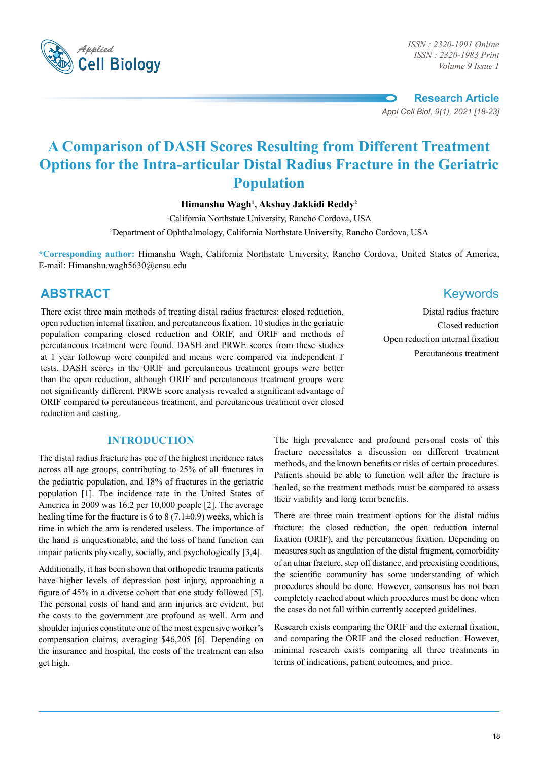

*ISSN : 2320-1983 Print Volume 9 Issue 1*

**Research Article** *Appl Cell Biol, 9(1), 2021 [18-23]*

# **A Comparison of DASH Scores Resulting from Different Treatment Options for the Intra-articular Distal Radius Fracture in the Geriatric Population**

**Himanshu Wagh1 , Akshay Jakkidi Reddy2**

1 California Northstate University, Rancho Cordova, USA

2 Department of Ophthalmology, California Northstate University, Rancho Cordova, USA

**\*Corresponding author:** Himanshu Wagh, California Northstate University, Rancho Cordova, United States of America, E-mail: Himanshu.wagh5630@cnsu.edu

# **ABSTRACT** Keywords

There exist three main methods of treating distal radius fractures: closed reduction, open reduction internal fixation, and percutaneous fixation. 10 studies in the geriatric population comparing closed reduction and ORIF, and ORIF and methods of percutaneous treatment were found. DASH and PRWE scores from these studies at 1 year followup were compiled and means were compared via independent T tests. DASH scores in the ORIF and percutaneous treatment groups were better than the open reduction, although ORIF and percutaneous treatment groups were not significantly different. PRWE score analysis revealed a significant advantage of ORIF compared to percutaneous treatment, and percutaneous treatment over closed reduction and casting.

## **Introduction**

The distal radius fracture has one of the highest incidence rates across all age groups, contributing to 25% of all fractures in the pediatric population, and 18% of fractures in the geriatric population [1]. The incidence rate in the United States of America in 2009 was 16.2 per 10,000 people [2]. The average healing time for the fracture is 6 to 8 (7.1 $\pm$ 0.9) weeks, which is time in which the arm is rendered useless. The importance of the hand is unquestionable, and the loss of hand function can impair patients physically, socially, and psychologically [3,4].

Additionally, it has been shown that orthopedic trauma patients have higher levels of depression post injury, approaching a figure of 45% in a diverse cohort that one study followed [5]. The personal costs of hand and arm injuries are evident, but the costs to the government are profound as well. Arm and shoulder injuries constitute one of the most expensive worker's compensation claims, averaging \$46,205 [6]. Depending on the insurance and hospital, the costs of the treatment can also get high.

Distal radius fracture Closed reduction Open reduction internal fixation Percutaneous treatment

The high prevalence and profound personal costs of this fracture necessitates a discussion on different treatment methods, and the known benefits or risks of certain procedures. Patients should be able to function well after the fracture is healed, so the treatment methods must be compared to assess their viability and long term benefits.

There are three main treatment options for the distal radius fracture: the closed reduction, the open reduction internal fixation (ORIF), and the percutaneous fixation. Depending on measures such as angulation of the distal fragment, comorbidity of an ulnar fracture, step off distance, and preexisting conditions, the scientific community has some understanding of which procedures should be done. However, consensus has not been completely reached about which procedures must be done when the cases do not fall within currently accepted guidelines.

Research exists comparing the ORIF and the external fixation, and comparing the ORIF and the closed reduction. However, minimal research exists comparing all three treatments in terms of indications, patient outcomes, and price.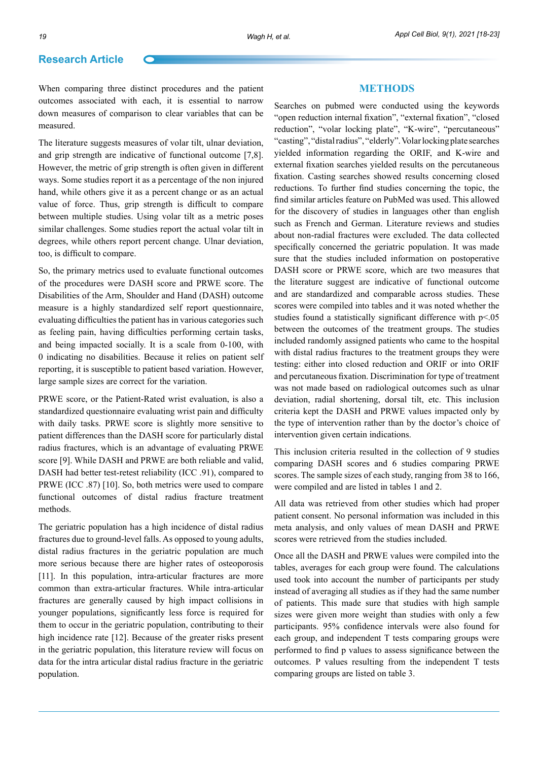### **Research Article**

When comparing three distinct procedures and the patient outcomes associated with each, it is essential to narrow down measures of comparison to clear variables that can be measured.

The literature suggests measures of volar tilt, ulnar deviation, and grip strength are indicative of functional outcome [7,8]. However, the metric of grip strength is often given in different ways. Some studies report it as a percentage of the non injured hand, while others give it as a percent change or as an actual value of force. Thus, grip strength is difficult to compare between multiple studies. Using volar tilt as a metric poses similar challenges. Some studies report the actual volar tilt in degrees, while others report percent change. Ulnar deviation, too, is difficult to compare.

So, the primary metrics used to evaluate functional outcomes of the procedures were DASH score and PRWE score. The Disabilities of the Arm, Shoulder and Hand (DASH) outcome measure is a highly standardized self report questionnaire, evaluating difficulties the patient has in various categories such as feeling pain, having difficulties performing certain tasks, and being impacted socially. It is a scale from 0-100, with 0 indicating no disabilities. Because it relies on patient self reporting, it is susceptible to patient based variation. However, large sample sizes are correct for the variation.

PRWE score, or the Patient-Rated wrist evaluation, is also a standardized questionnaire evaluating wrist pain and difficulty with daily tasks. PRWE score is slightly more sensitive to patient differences than the DASH score for particularly distal radius fractures, which is an advantage of evaluating PRWE score [9]. While DASH and PRWE are both reliable and valid, DASH had better test-retest reliability (ICC .91), compared to PRWE (ICC .87) [10]. So, both metrics were used to compare functional outcomes of distal radius fracture treatment methods.

The geriatric population has a high incidence of distal radius fractures due to ground-level falls. As opposed to young adults, distal radius fractures in the geriatric population are much more serious because there are higher rates of osteoporosis [11]. In this population, intra-articular fractures are more common than extra-articular fractures. While intra-articular fractures are generally caused by high impact collisions in younger populations, significantly less force is required for them to occur in the geriatric population, contributing to their high incidence rate [12]. Because of the greater risks present in the geriatric population, this literature review will focus on data for the intra articular distal radius fracture in the geriatric population.

#### **Methods**

Searches on pubmed were conducted using the keywords "open reduction internal fixation", "external fixation", "closed reduction", "volar locking plate", "K-wire", "percutaneous" "casting", "distal radius", "elderly". Volar locking plate searches yielded information regarding the ORIF, and K-wire and external fixation searches yielded results on the percutaneous fixation. Casting searches showed results concerning closed reductions. To further find studies concerning the topic, the find similar articles feature on PubMed was used. This allowed for the discovery of studies in languages other than english such as French and German. Literature reviews and studies about non-radial fractures were excluded. The data collected specifically concerned the geriatric population. It was made sure that the studies included information on postoperative DASH score or PRWE score, which are two measures that the literature suggest are indicative of functional outcome and are standardized and comparable across studies. These scores were compiled into tables and it was noted whether the studies found a statistically significant difference with  $p<0.05$ between the outcomes of the treatment groups. The studies included randomly assigned patients who came to the hospital with distal radius fractures to the treatment groups they were testing: either into closed reduction and ORIF or into ORIF and percutaneous fixation. Discrimination for type of treatment was not made based on radiological outcomes such as ulnar deviation, radial shortening, dorsal tilt, etc. This inclusion criteria kept the DASH and PRWE values impacted only by the type of intervention rather than by the doctor's choice of intervention given certain indications.

This inclusion criteria resulted in the collection of 9 studies comparing DASH scores and 6 studies comparing PRWE scores. The sample sizes of each study, ranging from 38 to 166, were compiled and are listed in tables 1 and 2.

All data was retrieved from other studies which had proper patient consent. No personal information was included in this meta analysis, and only values of mean DASH and PRWE scores were retrieved from the studies included.

Once all the DASH and PRWE values were compiled into the tables, averages for each group were found. The calculations used took into account the number of participants per study instead of averaging all studies as if they had the same number of patients. This made sure that studies with high sample sizes were given more weight than studies with only a few participants. 95% confidence intervals were also found for each group, and independent T tests comparing groups were performed to find p values to assess significance between the outcomes. P values resulting from the independent T tests comparing groups are listed on table 3.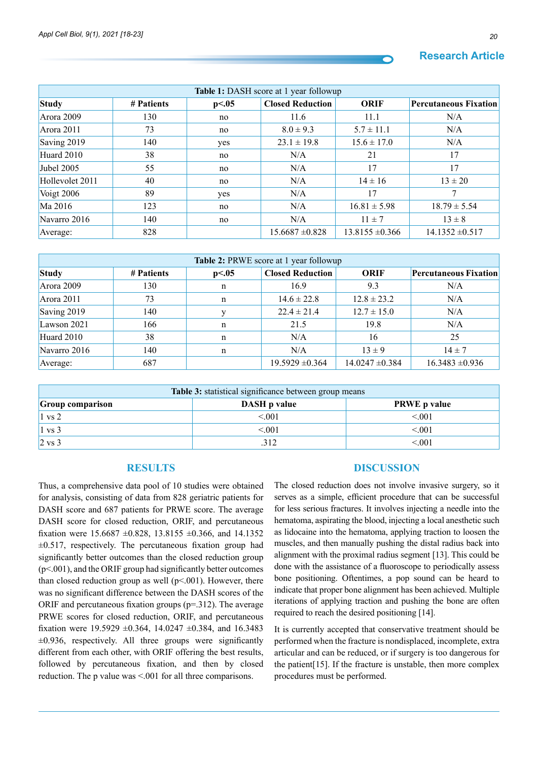# **Research Article**

| <b>Table 1:</b> DASH score at 1 year followup |            |       |                         |                     |                              |  |  |
|-----------------------------------------------|------------|-------|-------------------------|---------------------|------------------------------|--|--|
| <b>Study</b>                                  | # Patients | p<.05 | <b>Closed Reduction</b> | ORIF                | <b>Percutaneous Fixation</b> |  |  |
| Arora 2009                                    | 130        | no    | 11.6                    | 11.1                | N/A                          |  |  |
| Arora 2011                                    | 73         | no    | $8.0 \pm 9.3$           | $5.7 \pm 11.1$      | N/A                          |  |  |
| Saving 2019                                   | 140        | yes   | $23.1 \pm 19.8$         | $15.6 \pm 17.0$     | N/A                          |  |  |
| Huard 2010                                    | 38         | no    | N/A                     | 21                  | 17                           |  |  |
| Jubel 2005                                    | 55         | no    | N/A                     | 17                  | 17                           |  |  |
| Hollevolet 2011                               | 40         | no    | N/A                     | $14 \pm 16$         | $13 \pm 20$                  |  |  |
| Voigt 2006                                    | 89         | yes   | N/A                     | 17                  |                              |  |  |
| Ma 2016                                       | 123        | no    | N/A                     | $16.81 \pm 5.98$    | $18.79 \pm 5.54$             |  |  |
| Navarro 2016                                  | 140        | no    | N/A                     | $11 \pm 7$          | $13 \pm 8$                   |  |  |
| Average:                                      | 828        |       | $15.6687 \pm 0.828$     | $13.8155 \pm 0.366$ | $14.1352 \pm 0.517$          |  |  |

| Table 2: PRWE score at 1 year followup |            |       |                         |                     |                              |  |  |
|----------------------------------------|------------|-------|-------------------------|---------------------|------------------------------|--|--|
| <b>Study</b>                           | # Patients | p<.05 | <b>Closed Reduction</b> | <b>ORIF</b>         | <b>Percutaneous Fixation</b> |  |  |
| Arora 2009                             | 130        | n     | 16.9                    | 9.3                 | N/A                          |  |  |
| Arora $2011$                           | 73         | n     | $14.6 \pm 22.8$         | $12.8 \pm 23.2$     | N/A                          |  |  |
| Saving 2019                            | 140        |       | $22.4 \pm 21.4$         | $12.7 \pm 15.0$     | N/A                          |  |  |
| Lawson 2021                            | 166        | n     | 21.5                    | 19.8                | N/A                          |  |  |
| Huard 2010                             | 38         | n     | N/A                     | 16                  | 25                           |  |  |
| Navarro 2016                           | 140        | n     | N/A                     | $13 \pm 9$          | $14 \pm 7$                   |  |  |
| Average:                               | 687        |       | $19.5929 \pm 0.364$     | $14.0247 \pm 0.384$ | $16.3483 \pm 0.936$          |  |  |

| Table 3: statistical significance between group means |                            |                     |  |  |  |  |  |
|-------------------------------------------------------|----------------------------|---------------------|--|--|--|--|--|
| <b>Group comparison</b>                               | <b>DASH</b> <i>p</i> value | <b>PRWE</b> p value |  |  |  |  |  |
| $1 \text{ vs } 2$                                     | < 001                      | < 001               |  |  |  |  |  |
| $1 \text{ vs } 3$                                     | < 001                      | < 0.01              |  |  |  |  |  |
| $ 2 \text{ vs } 3$                                    | 312                        | ${<}001$            |  |  |  |  |  |

#### **Results**

Thus, a comprehensive data pool of 10 studies were obtained for analysis, consisting of data from 828 geriatric patients for DASH score and 687 patients for PRWE score. The average DASH score for closed reduction, ORIF, and percutaneous fixation were  $15.6687 \pm 0.828$ ,  $13.8155 \pm 0.366$ , and  $14.1352$  $\pm 0.517$ , respectively. The percutaneous fixation group had significantly better outcomes than the closed reduction group  $(p<.001)$ , and the ORIF group had significantly better outcomes than closed reduction group as well  $(p<.001)$ . However, there was no significant difference between the DASH scores of the ORIF and percutaneous fixation groups (p=.312). The average PRWE scores for closed reduction, ORIF, and percutaneous fixation were  $19.5929 \pm 0.364$ ,  $14.0247 \pm 0.384$ , and  $16.3483$  $\pm 0.936$ , respectively. All three groups were significantly different from each other, with ORIF offering the best results, followed by percutaneous fixation, and then by closed reduction. The p value was <.001 for all three comparisons.

#### **Discussion**

The closed reduction does not involve invasive surgery, so it serves as a simple, efficient procedure that can be successful for less serious fractures. It involves injecting a needle into the hematoma, aspirating the blood, injecting a local anesthetic such as lidocaine into the hematoma, applying traction to loosen the muscles, and then manually pushing the distal radius back into alignment with the proximal radius segment [13]. This could be done with the assistance of a fluoroscope to periodically assess bone positioning. Oftentimes, a pop sound can be heard to indicate that proper bone alignment has been achieved. Multiple iterations of applying traction and pushing the bone are often required to reach the desired positioning [14].

It is currently accepted that conservative treatment should be performed when the fracture is nondisplaced, incomplete, extra articular and can be reduced, or if surgery is too dangerous for the patient[15]. If the fracture is unstable, then more complex procedures must be performed.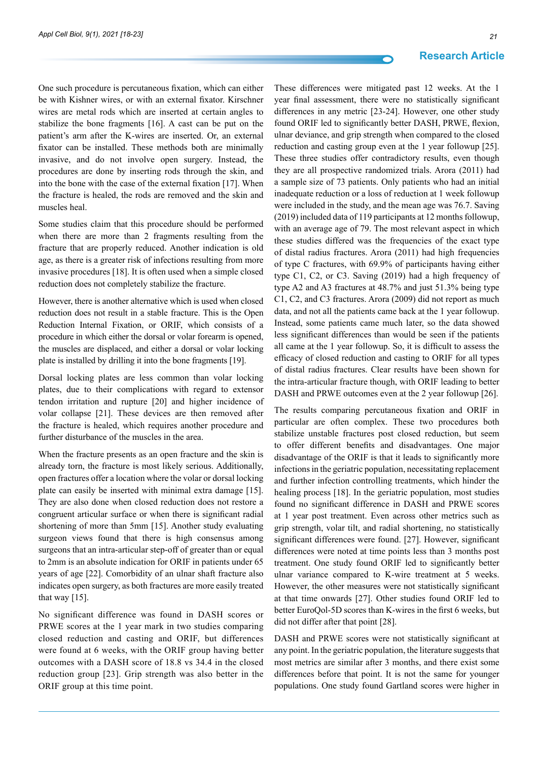One such procedure is percutaneous fixation, which can either be with Kishner wires, or with an external fixator. Kirschner wires are metal rods which are inserted at certain angles to stabilize the bone fragments [16]. A cast can be put on the patient's arm after the K-wires are inserted. Or, an external fixator can be installed. These methods both are minimally invasive, and do not involve open surgery. Instead, the procedures are done by inserting rods through the skin, and into the bone with the case of the external fixation [17]. When the fracture is healed, the rods are removed and the skin and muscles heal.

Some studies claim that this procedure should be performed when there are more than 2 fragments resulting from the fracture that are properly reduced. Another indication is old age, as there is a greater risk of infections resulting from more invasive procedures [18]. It is often used when a simple closed reduction does not completely stabilize the fracture.

However, there is another alternative which is used when closed reduction does not result in a stable fracture. This is the Open Reduction Internal Fixation, or ORIF, which consists of a procedure in which either the dorsal or volar forearm is opened, the muscles are displaced, and either a dorsal or volar locking plate is installed by drilling it into the bone fragments [19].

Dorsal locking plates are less common than volar locking plates, due to their complications with regard to extensor tendon irritation and rupture [20] and higher incidence of volar collapse [21]. These devices are then removed after the fracture is healed, which requires another procedure and further disturbance of the muscles in the area.

When the fracture presents as an open fracture and the skin is already torn, the fracture is most likely serious. Additionally, open fractures offer a location where the volar or dorsal locking plate can easily be inserted with minimal extra damage [15]. They are also done when closed reduction does not restore a congruent articular surface or when there is significant radial shortening of more than 5mm [15]. Another study evaluating surgeon views found that there is high consensus among surgeons that an intra-articular step-off of greater than or equal to 2mm is an absolute indication for ORIF in patients under 65 years of age [22]. Comorbidity of an ulnar shaft fracture also indicates open surgery, as both fractures are more easily treated that way  $[15]$ .

No significant difference was found in DASH scores or PRWE scores at the 1 year mark in two studies comparing closed reduction and casting and ORIF, but differences were found at 6 weeks, with the ORIF group having better outcomes with a DASH score of 18.8 vs 34.4 in the closed reduction group [23]. Grip strength was also better in the ORIF group at this time point.

These differences were mitigated past 12 weeks. At the 1 year final assessment, there were no statistically significant differences in any metric [23-24]. However, one other study found ORIF led to significantly better DASH, PRWE, flexion, ulnar deviance, and grip strength when compared to the closed reduction and casting group even at the 1 year followup [25]. These three studies offer contradictory results, even though they are all prospective randomized trials. Arora (2011) had a sample size of 73 patients. Only patients who had an initial inadequate reduction or a loss of reduction at 1 week followup were included in the study, and the mean age was 76.7. Saving (2019) included data of 119 participants at 12 months followup, with an average age of 79. The most relevant aspect in which these studies differed was the frequencies of the exact type of distal radius fractures. Arora (2011) had high frequencies of type C fractures, with 69.9% of participants having either type C1, C2, or C3. Saving (2019) had a high frequency of type A2 and A3 fractures at 48.7% and just 51.3% being type C1, C2, and C3 fractures. Arora (2009) did not report as much data, and not all the patients came back at the 1 year followup. Instead, some patients came much later, so the data showed less significant differences than would be seen if the patients all came at the 1 year followup. So, it is difficult to assess the efficacy of closed reduction and casting to ORIF for all types of distal radius fractures. Clear results have been shown for the intra-articular fracture though, with ORIF leading to better DASH and PRWE outcomes even at the 2 year followup [26].

The results comparing percutaneous fixation and ORIF in particular are often complex. These two procedures both stabilize unstable fractures post closed reduction, but seem to offer different benefits and disadvantages. One major disadvantage of the ORIF is that it leads to significantly more infections in the geriatric population, necessitating replacement and further infection controlling treatments, which hinder the healing process [18]. In the geriatric population, most studies found no significant difference in DASH and PRWE scores at 1 year post treatment. Even across other metrics such as grip strength, volar tilt, and radial shortening, no statistically significant differences were found. [27]. However, significant differences were noted at time points less than 3 months post treatment. One study found ORIF led to significantly better ulnar variance compared to K-wire treatment at 5 weeks. However, the other measures were not statistically significant at that time onwards [27]. Other studies found ORIF led to better EuroQol-5D scores than K-wires in the first 6 weeks, but did not differ after that point [28].

DASH and PRWE scores were not statistically significant at any point. In the geriatric population, the literature suggests that most metrics are similar after 3 months, and there exist some differences before that point. It is not the same for younger populations. One study found Gartland scores were higher in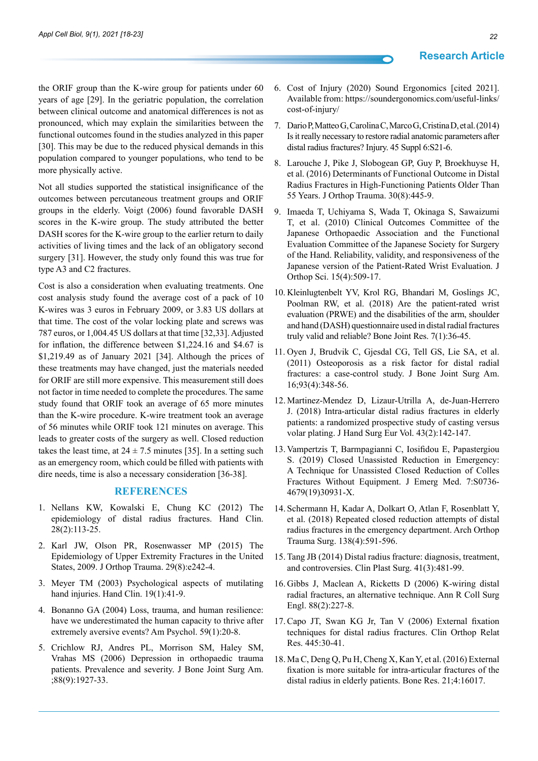the ORIF group than the K-wire group for patients under 60 years of age [29]. In the geriatric population, the correlation between clinical outcome and anatomical differences is not as pronounced, which may explain the similarities between the functional outcomes found in the studies analyzed in this paper [30]. This may be due to the reduced physical demands in this population compared to younger populations, who tend to be more physically active.

Not all studies supported the statistical insignificance of the outcomes between percutaneous treatment groups and ORIF groups in the elderly. Voigt (2006) found favorable DASH scores in the K-wire group. The study attributed the better DASH scores for the K-wire group to the earlier return to daily activities of living times and the lack of an obligatory second surgery [31]. However, the study only found this was true for type A3 and C2 fractures.

Cost is also a consideration when evaluating treatments. One cost analysis study found the average cost of a pack of 10 K-wires was 3 euros in February 2009, or 3.83 US dollars at that time. The cost of the volar locking plate and screws was 787 euros, or 1,004.45 US dollars at that time [32,33]. Adjusted for inflation, the difference between \$1,224.16 and \$4.67 is \$1,219.49 as of January 2021 [34]. Although the prices of these treatments may have changed, just the materials needed for ORIF are still more expensive. This measurement still does not factor in time needed to complete the procedures. The same study found that ORIF took an average of 65 more minutes than the K-wire procedure. K-wire treatment took an average of 56 minutes while ORIF took 121 minutes on average. This leads to greater costs of the surgery as well. Closed reduction takes the least time, at  $24 \pm 7.5$  minutes [35]. In a setting such as an emergency room, which could be filled with patients with dire needs, time is also a necessary consideration [36-38].

#### **References**

- 1. Nellans KW, Kowalski E, Chung KC (2012) The epidemiology of distal radius fractures. Hand Clin. 28(2):113-25.
- 2. Karl JW, Olson PR, Rosenwasser MP (2015) The Epidemiology of Upper Extremity Fractures in the United States, 2009. J Orthop Trauma. 29(8):e242-4.
- 3. Meyer TM (2003) Psychological aspects of mutilating hand injuries. Hand Clin. 19(1):41-9.
- 4. Bonanno GA (2004) Loss, trauma, and human resilience: have we underestimated the human capacity to thrive after extremely aversive events? Am Psychol. 59(1):20-8.
- 5. Crichlow RJ, Andres PL, Morrison SM, Haley SM, Vrahas MS (2006) Depression in orthopaedic trauma patients. Prevalence and severity. J Bone Joint Surg Am. ;88(9):1927-33.
- 6. Cost of Injury (2020) Sound Ergonomics [cited 2021]. Available from: [https://soundergonomics.com/useful-links/](https://soundergonomics.com/useful-links/cost-of-injury/) [cost-of-injury/](https://soundergonomics.com/useful-links/cost-of-injury/)
- 7. Dario P, Matteo G, Carolina C, Marco G, Cristina D, et al. (2014) Is it really necessary to restore radial anatomic parameters after distal radius fractures? Injury. 45 Suppl 6:S21-6.
- 8. Larouche J, Pike J, Slobogean GP, Guy P, Broekhuyse H, et al. (2016) Determinants of Functional Outcome in Distal Radius Fractures in High-Functioning Patients Older Than 55 Years. J Orthop Trauma. 30(8):445-9.
- 9. Imaeda T, Uchiyama S, Wada T, Okinaga S, Sawaizumi T, et al. (2010) Clinical Outcomes Committee of the Japanese Orthopaedic Association and the Functional Evaluation Committee of the Japanese Society for Surgery of the Hand. Reliability, validity, and responsiveness of the Japanese version of the Patient-Rated Wrist Evaluation. J Orthop Sci. 15(4):509-17.
- 10. Kleinlugtenbelt YV, Krol RG, Bhandari M, Goslings JC, Poolman RW, et al. (2018) Are the patient-rated wrist evaluation (PRWE) and the disabilities of the arm, shoulder and hand (DASH) questionnaire used in distal radial fractures truly valid and reliable? Bone Joint Res. 7(1):36-45.
- 11. Oyen J, Brudvik C, Gjesdal CG, Tell GS, Lie SA, et al. (2011) Osteoporosis as a risk factor for distal radial fractures: a case-control study. J Bone Joint Surg Am. 16;93(4):348-56.
- 12. Martinez-Mendez D, Lizaur-Utrilla A, de-Juan-Herrero J. (2018) Intra-articular distal radius fractures in elderly patients: a randomized prospective study of casting versus volar plating. J Hand Surg Eur Vol. 43(2):142-147.
- 13. Vampertzis T, Barmpagianni C, Iosifidou E, Papastergiou S. (2019) Closed Unassisted Reduction in Emergency: A Technique for Unassisted Closed Reduction of Colles Fractures Without Equipment. J Emerg Med. 7:S0736- 4679(19)30931-X.
- 14. Schermann H, Kadar A, Dolkart O, Atlan F, Rosenblatt Y, et al. (2018) Repeated closed reduction attempts of distal radius fractures in the emergency department. Arch Orthop Trauma Surg. 138(4):591-596.
- 15. Tang JB (2014) Distal radius fracture: diagnosis, treatment, and controversies. Clin Plast Surg. 41(3):481-99.
- 16. Gibbs J, Maclean A, Ricketts D (2006) K-wiring distal radial fractures, an alternative technique. Ann R Coll Surg Engl. 88(2):227-8.
- 17. Capo JT, Swan KG Jr, Tan V (2006) External fixation techniques for distal radius fractures. Clin Orthop Relat Res. 445:30-41.
- 18. Ma C, Deng Q, Pu H, Cheng X, Kan Y, et al. (2016) External fixation is more suitable for intra-articular fractures of the distal radius in elderly patients. Bone Res. 21;4:16017.

**Research Article**